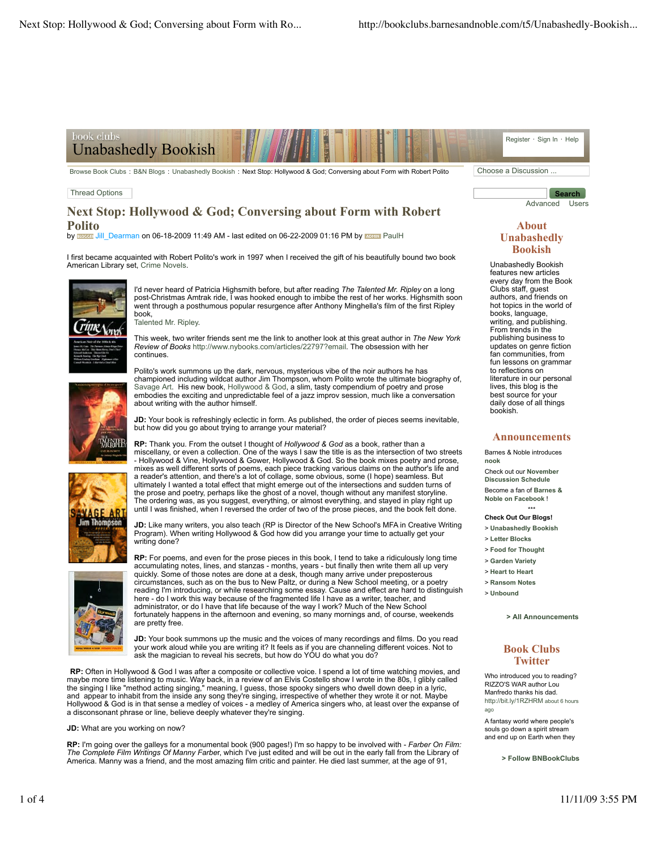

Browse Book Clubs : B&N Blogs : Unabashedly Bookish : Next Stop: Hollywood & God: Conversing about Form with Robert Polito Choose a Discussion ...

### Thread Options

# **Next Stop: Hollywood & God; Conversing about Form with Robert Polito**

by BLOGGER' Jill\_Dearman on 06-18-2009 11:49 AM - last edited on 06-22-2009 01:16 PM by **ROMINI** PaulH

I first became acquainted with Robert Polito's work in 1997 when I received the gift of his beautifully bound two book American Library set, Crime Novels.



I'd never heard of Patricia Highsmith before, but after reading *The Talented Mr. Ripley* on a long post-Christmas Amtrak ride, I was hooked enough to imbibe the rest of her works. Highsmith soon went through a posthumous popular resurgence after Anthony Minghella's film of the first Ripley book,

Talented Mr. Ripley.

This week, two writer friends sent me the link to another look at this great author in *The New York Review of Books* http://www.nybooks.com/articles/22797?email. The obsession with her continues.



Polito's work summons up the dark, nervous, mysterious vibe of the noir authors he has championed including wildcat author Jim Thompson, whom Polito wrote the ultimate biography of, Savage Art. His new book, Hollywood & God, a slim, tasty compendium of poetry and prose embodies the exciting and unpredictable feel of a jazz improv session, much like a conversation about writing with the author himself.

**JD:** Your book is refreshingly eclectic in form. As published, the order of pieces seems inevitable, but how did you go about trying to arrange your material?



**RP:** Thank you. From the outset I thought of *Hollywood & God* as a book, rather than a miscellany, or even a collection. One of the ways I saw the title is as the intersection of two streets - Hollywood & Vine, Hollywood & Gower, Hollywood & God. So the book mixes poetry and prose, mixes as well different sorts of poems, each piece tracking various claims on the author's life and<br>a reader's attention, and there's a lot of collage, some obvious, some (I hope) seamless. But<br>ultimately I wanted a total the prose and poetry, perhaps like the ghost of a novel, though without any manifest storyline. The ordering was, as you suggest, everything, or almost everything, and stayed in play right up until I was finished, when I reversed the order of two of the prose pieces, and the book felt done.

**JD:** Like many writers, you also teach (RP is Director of the New School's MFA in Creative Writing Program). When writing Hollywood & God how did you arrange your time to actually get your writing done?

**RP:** For poems, and even for the prose pieces in this book, I tend to take a ridiculously long time accumulating notes, lines, and stanzas - months, years - but finally then write them all up very quickly. Some of those notes are done at a desk, though many arrive under preposterous circumstances, such as on the bus to New Paltz, or during a New School meeting, or a poetry reading I'm introducing, or while researching some essay. Cause and effect are hard to distinguish here - do I work this way because of the fragmented life I have as a writer, teacher, and administrator, or do I have that life because of the way I work? Much of the New School fortunately happens in the afternoon and evening, so many mornings and, of course, weekends are pretty free.

**JD:** Your book summons up the music and the voices of many recordings and films. Do you read your work aloud while you are writing it? It feels as if you are channeling different voices. Not to ask the magician to reveal his secrets, but how do YOU do what you do?

RP: Often in Hollywood & God I was after a composite or collective voice. I spend a lot of time watching movies, and<br>maybe more time listening to music. Way back, in a review of an Elvis Costello show I wrote in the 80s, I and appear to inhabit from the inside any song they're singing, irrespective of whether they wrote it or not. Maybe Hollywood & God is in that sense a medley of voices - a medley of America singers who, at least over the expanse of a disconsonant phrase or line, believe deeply whatever they're singing.

**JD:** What are you working on now?

**RP:** I'm going over the galleys for a monumental book (900 pages!) I'm so happy to be involved with - *Farber On Film: The Complete Film Writings Of Manny Farbe*r, which I've just edited and will be out in the early fall from the Library of America. Manny was a friend, and the most amazing film critic and painter. He died last summer, at the age of 91,

**Search** Advanced Users

### **About Unabashedly Bookish**

Unabashedly Bookish features new articles every day from the Book Clubs staff, guest authors, and friends on hot topics in the world of books, language, writing, and publishing. From trends in the publishing business to updates on genre fiction fan communities, from fun lessons on grammar to reflections on literature in our personal lives, this blog is the best source for your daily dose of all things bookish.

#### **Announcements**

Barnes & Noble introduces **nook** Check out our **November Discussion Schedule** Become a fan of **Barnes & Noble on Facebook** !

\*\*\* **Check Out Our Blogs!**

- > **Unabashedly Bookish**
- > **Letter Blocks**
- > **Food for Thought**
- > **Garden Variety**
- > **Heart to Heart**
- > **Ransom Notes**
- > **Unbound**

**> All Announcements**

## **Book Clubs Twitter**

Who introduced you to reading? RIZZO'S WAR author Lou Manfredo thanks his dad. http://bit.ly/1RZHRM about 6 hours ago

A fantasy world where people's souls go down a spirit stream and end up on Earth when they

**> Follow BNBookClubs**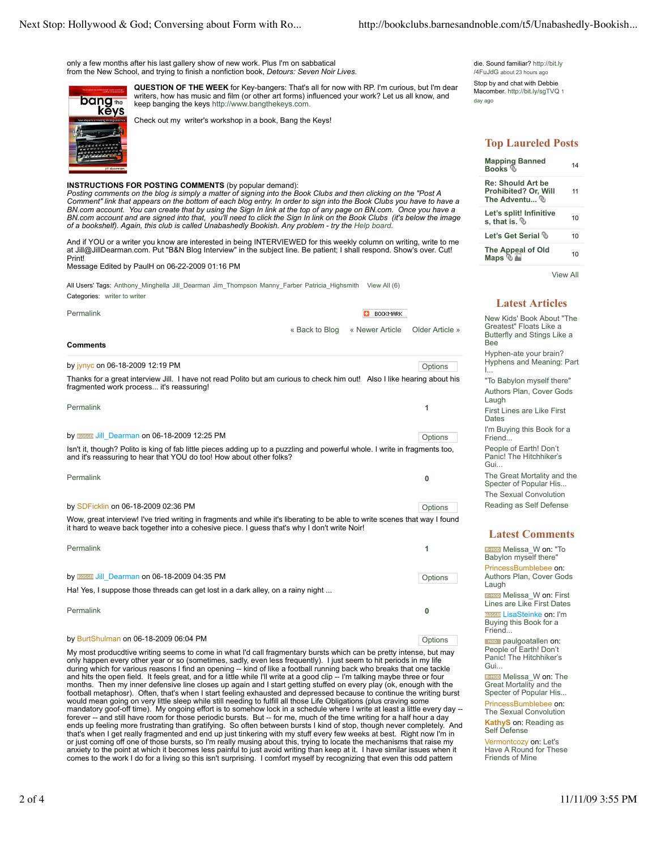only a few months after his last gallery show of new work. Plus I'm on sabbatical from the New School, and trying to finish a nonfiction book, *Detours: Seven Noir Lives*.



**QUESTION OF THE WEEK** for Key-bangers: That's all for now with RP. I'm curious, but I'm dear writers, how has music and film (or other art forms) influenced your work? Let us all know, and keep banging the keys http://www.bangthekeys.com.

Check out my writer's workshop in a book, Bang the Keys!

## **INSTRUCTIONS FOR POSTING COMMENTS** (by popular demand):

Posting comments on the blog is simply a matter of signing into the Book Clubs and then clicking on the "Post A<br>Comment" link that appears on the bottom of each blog entry. In order to sign into the Book Clubs you have to *BN.com account and are signed into that, you'll need to click the Sign In link on the Book Clubs (it's below the image of a bookshelf). Again, this club is called Unabashedly Bookish. Any problem - try the Help board.*

And if YOU or a writer you know are interested in being INTERVIEWED for this weekly column on writing, write to me at Jill@JillDearman.com. Put "B&N Blog Interview" in the subject line. Be patient; I shall respond. Show's over. Cut! Print!

Message Edited by PaulH on 06-22-2009 01:16 PM

All Users' Tags: Anthony\_Minghella Jill\_Dearman Jim\_Thompson Manny\_Farber Patricia\_Highsmith View All (6) Categories: writer to writer

| Permalink                                                                                                                                                                                                                   | n<br><b>BOOKMARK</b> |                 |                 |
|-----------------------------------------------------------------------------------------------------------------------------------------------------------------------------------------------------------------------------|----------------------|-----------------|-----------------|
|                                                                                                                                                                                                                             | « Back to Blog       | « Newer Article | Older Article » |
| <b>Comments</b>                                                                                                                                                                                                             |                      |                 |                 |
| by jynyc on 06-18-2009 12:19 PM                                                                                                                                                                                             |                      |                 | Options         |
| Thanks for a great interview Jill. I have not read Polito but am curious to check him out! Also I like hearing about his<br>fragmented work process it's reassuring!                                                        |                      |                 |                 |
| Permalink                                                                                                                                                                                                                   |                      |                 | 1               |
| by <b>EXECUTE: Jill</b> Dearman on 06-18-2009 12:25 PM                                                                                                                                                                      |                      |                 | Options         |
| Isn't it, though? Polito is king of fab little pieces adding up to a puzzling and powerful whole. I write in fragments too,<br>and it's reassuring to hear that YOU do too! How about other folks?                          |                      |                 |                 |
| Permalink                                                                                                                                                                                                                   |                      |                 | 0               |
| by SDFicklin on 06-18-2009 02:36 PM                                                                                                                                                                                         |                      |                 | Options         |
| Wow, great interview! I've tried writing in fragments and while it's liberating to be able to write scenes that way I found<br>it hard to weave back together into a cohesive piece. I quess that's why I don't write Noir! |                      |                 |                 |
| Permalink                                                                                                                                                                                                                   |                      |                 | 1               |
| by BLOGGET Jill Dearman on 06-18-2009 04:35 PM                                                                                                                                                                              |                      |                 | Options         |
| Ha! Yes, I suppose those threads can get lost in a dark alley, on a rainy night                                                                                                                                             |                      |                 |                 |
| Permalink                                                                                                                                                                                                                   |                      |                 | 0               |

#### by BurtShulman on 06-18-2009 06:04 PM

My most producdtive writing seems to come in what I'd call fragmentary bursts which can be pretty intense, but may only happen every other year or so (sometimes, sadly, even less frequently). I just seem to hit periods in my life during which for various reasons I find an opening -- kind of like a football running back who breaks that one tackle<br>and hits the open field. It feels great, and for a little while I'll write at a good clip -- I'm talkin months. Then my inner defensive line closes up again and I start getting stuffed on every play (ok, enough with the football metaphosr). Often, that's when I start feeling exhausted and depressed because to continue the writing burst would mean going on very little sleep while still needing to fulfill all those Life Obligations (plus craving some mandatory goof-off time). My ongoing effort is to somehow lock in a schedule where I write at least a little every day -forever -- and still have room for those periodic bursts. But -- for me, much of the time writing for a half hour a day<br>ends up feeling more frustrating than gratifying. So often between bursts I kind of stop, though nev anxiety to the point at which it becomes less painful to just avoid writing than keep at it. I have similar issues when it comes to the work I do for a living so this isn't surprising. I comfort myself by recognizing that even this odd pattern

die. Sound familiar? http://bit.ly /4FuJdG about 23 hours ago

Stop by and chat with Debbie Macomber. http://bit.lv/sqTVQ 1 day ago

# **Top Laureled Posts**

| <b>Mapping Banned</b><br>Books ®                                                                    | 14 |
|-----------------------------------------------------------------------------------------------------|----|
| Re: Should Art be<br>Prohibited? Or. Will<br>The Adventu $^{\tiny{\textcircled{\tiny{\textcirc}}}}$ | 11 |
| Let's split! Infinitive<br>s, that is. $\mathbb Q$                                                  | 10 |
| Let's Get Serial $\mathbb Q$                                                                        | 10 |
| The Appeal of Old<br>Maps ® <mark>⊡</mark>                                                          | 10 |
|                                                                                                     |    |

View All

## **Latest Articles**

New Kids' Book About "The Greatest" Floats Like a Butterfly and Stings Like a Bee Hyphen-ate your brain? Hyphens and Meaning: Part I... "To Babylon myself there" Authors Plan, Cover Gods Laugh First Lines are Like First **Dates** I'm Buying this Book for a Friend... People of Earth! Don't

Panic! The Hitchhiker's Gui. The Great Mortality and the

Specter of Popular His... The Sexual Convolution Reading as Self Defense

### **Latest Comments**

**REMOD** Melissa\_W on: "To Babylon myself there' PrincessBumblebee on: Authors Plan, Cover Gods Laugh R-MOD Melissa\_W on: First

Lines are Like First Dates **BLOODER** LisaSteinke on: I'm Buying this Book for a Friend...

**ROD** paulgoatallen on:<br>People of Earth! Don't Panic! The Hitchhiker's Gui...

**REMOD** Melissa W on: The Great Mortality and the Specter of Popular His...

PrincessBumblebee on: The Sexual Convolution

**KathyS** on: Reading as Self Defense

Vermontcozy on: Let's Have A Round for These Friends of Mine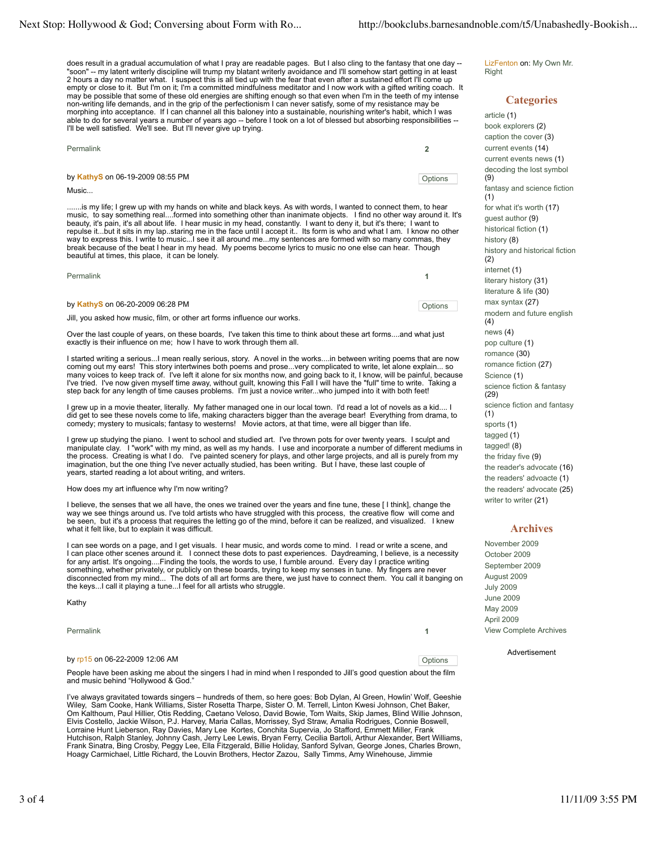does result in a gradual accumulation of what I pray are readable pages. But I also cling to the fantasy that one day --<br>"soon" -- my latent writerly discipline will trump my blatant writerly avoidance and I'll somehow st 2 hours a day no matter what. I suspect this is all tied up with the fear that even after a sustained effort I'll come up empty or close to it. But I'm on it; I'm a committed mindfulness meditator and I now work with a gifted writing coach. It may be possible that some of these old energies are shifting enough so that even when I'm in the teeth of my intense non-writing life demands, and in the grip of the perfectionism I can never satisfy, some of my resistance may be morphing into acceptance. If I can channel all this baloney into a sustainable, nourishing writer's habit, which I was able to do for several years a number of years ago -- before I took on a lot of blessed but absorbing responsibilities -- I'll be well satisfied. We'll see. But I'll never give up trying.

| Permalink                        |         |
|----------------------------------|---------|
| by KathyS on 06-19-2009 08:55 PM | Options |

Music...

......is my life; I grew up with my hands on white and black keys. As with words, I wanted to connect them, to hear music, to say something real....formed into something other than inanimate objects. I find no other way around it. It's beauty, it's pain, it's all about life. I hear music in my head, constantly. I want to deny it, but it's there; I want to<br>repulse it…but it sits in my lap. staring me in the face until I accept it… Its form is who and what way to express this. I write to music...I see it all around me...my sentences are formed with so many commas, they break because of the beat I hear in my head. My poems become lyrics to music no one else can hear. Though beautiful at times, this place, it can be lonely.

| Permalink                                                                |         |
|--------------------------------------------------------------------------|---------|
| by KathyS on 06-20-2009 06:28 PM                                         | Options |
| Jill, you asked how music, film, or other art forms influence our works. |         |

Over the last couple of years, on these boards, I've taken this time to think about these art forms....and what just exactly is their influence on me; how I have to work through them all.

I started writing a serious...I mean really serious, story. A novel in the works....in between writing poems that are now coming out my ears! This story intertwines both poems and prose...very complicated to write, let alone explain... so many voices to keep track of. I've left it alone for six months now, and going back to it, I know, will be painful, because I've tried. I've now given myself time away, without guilt, knowing this Fall I will have the "full" time to write. Taking a<br>step back for any length of time causes problems. I'm just a novice writer...who jumped into it

I grew up in a movie theater, literally. My father managed one in our local town. I'd read a lot of novels as a kid.... I did get to see these novels come to life, making characters bigger than the average bear! Everything from drama, to comedy; mystery to musicals; fantasy to westerns! Movie actors, at that time, were all bigger than life.

I grew up studying the piano. I went to school and studied art. I've thrown pots for over twenty years. I sculpt and manipulate clay. I "work" with my mind, as well as my hands. I use and incorporate a number of different mediums in<br>the process. Creating is what I do. I've painted scenery for plays, and other large projects, and all is p years, started reading a lot about writing, and writers.

#### How does my art influence why I'm now writing?

I believe, the senses that we all have, the ones we trained over the years and fine tune, these [ I think], change the<br>way we see things around us. I've told artists who have struggled with this process, the creative flow be seen, but it's a process that requires the letting go of the mind, before it can be realized, and visualized. I knew what it felt like, but to explain it was difficult.

I can see words on a page, and I get visuals. I hear music, and words come to mind. I read or write a scene, and I can place other scenes around it. I connect these dots to past experiences. Daydreaming, I believe, is a necessity for any artist. It's ongoing....Finding the tools, the words to use, I fumble around. Every day I practice writing<br>something, whether privately, or publicly on these boards, trying to keep my senses in tune. My fingers a

Kathy

Permalink **1**

### by rp15 on 06-22-2009 12:06 AM **Definition** 12:06 AM **Options**

People have been asking me about the singers I had in mind when I responded to Jill's good question about the film and music behind "Hollywood & God."

I've always gravitated towards singers – hundreds of them, so here goes: Bob Dylan, Al Green, Howlin' Wolf, Geeshie<br>Wiley, Sam Cooke, Hank Williams, Sister Rosetta Tharpe, Sister O. M. Terrell, Linton Kwesi Johnson, Chet Elvis Costello, Jackie Wilson, P.J. Harvey, Maria Callas, Morrissey, Syd Straw, Amalia Rodrigues, Connie Boswell, Lorraine Hunt Lieberson, Ray Davies, Mary Lee Kortes, Conchita Supervia, Jo Stafford, Emmett Miller, Frank Hutchison, Ralph Stanley, Johnny Cash, Jerry Lee Lewis, Bryan Ferry, Cecilia Bartoli, Arthur Alexander, Bert Williams,<br>Frank Sinatra, Bing Crosby, Peggy Lee, Ella Fitzgerald, Billie Holiday, Sanford Sylvan, George Jones, C Hoagy Carmichael, Little Richard, the Louvin Brothers, Hector Zazou, Sally Timms, Amy Winehouse, Jimmie

LizFenton on: My Own Mr. **Right** 

## **Categories**

article (1) book explorers (2) caption the cover (3) current events (14) current events news (1) decoding the lost symbol (9) fantasy and science fiction (1) for what it's worth (17) guest author (9) historical fiction (1) history (8) history and historical fiction (2) internet (1) literary history (31) literature & life (30) max syntax (27) modern and future english (4) news (4) pop culture (1) romance (30) romance fiction (27) Science (1) science fiction & fantasy (29) science fiction and fantasy (1) sports (1) tagged (1) tagged! (8) the friday five (9) the reader's advocate (16) the readers' advoacte (1) the readers' advocate (25) writer to writer (21)

### **Archives**

November 2009 October 2009 September 2009 August 2009 July 2009 June 2009 May 2009 April 2009 View Complete Archives

#### Advertisement